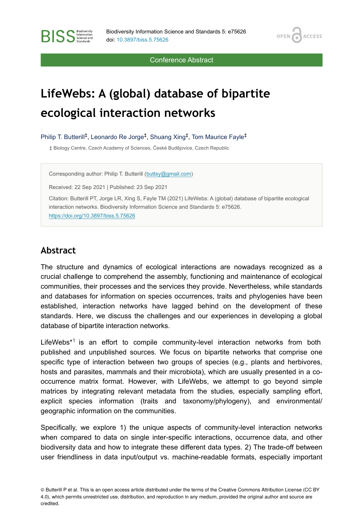OPEN<sub>C</sub>

**ACCESS** 

Conference Abstract

# **LifeWebs: A (global) database of bipartite ecological interaction networks**

Philip T. Butterill<sup>‡</sup>, Leonardo Re Jorge<sup>‡</sup>, Shuang Xing<sup>‡</sup>, Tom Maurice Fayle<sup>‡</sup>

‡ Biology Centre, Czech Academy of Sciences, České Budějovice, Czech Republic

Corresponding author: Philip T. Butterill [\(buttsy@gmail.com](mailto:buttsy@gmail.com))

Received: 22 Sep 2021 | Published: 23 Sep 2021

Citation: Butterill PT, Jorge LR, Xing S, Fayle TM (2021) LifeWebs: A (global) database of bipartite ecological interaction networks. Biodiversity Information Science and Standards 5: e75626. <https://doi.org/10.3897/biss.5.75626>

#### **Abstract**

**BISS** Steince and

The structure and dynamics of ecological interactions are nowadays recognized as a crucial challenge to comprehend the assembly, functioning and maintenance of ecological communities, their processes and the services they provide. Nevertheless, while standards and databases for information on species occurrences, traits and phylogenies have been established, interaction networks have lagged behind on the development of these standards. Here, we discuss the challenges and our experiences in developing a global database of bipartite interaction networks.

LifeWebs $*$ <sup>1</sup> is an effort to compile community-level interaction networks from both published and unpublished sources. We focus on bipartite networks that comprise one specific type of interaction between two groups of species (e.g., plants and herbivores, hosts and parasites, mammals and their microbiota), which are usually presented in a cooccurrence matrix format. However, with LifeWebs, we attempt to go beyond simple matrices by integrating relevant metadata from the studies, especially sampling effort, explicit species information (traits and taxonomy/phylogeny), and environmental/ geographic information on the communities.

Specifically, we explore 1) the unique aspects of community-level interaction networks when compared to data on single inter-specific interactions, occurrence data, and other biodiversity data and how to integrate these different data types. 2) The trade-off between user friendliness in data input/output vs. machine-readable formats, especially important

© Butterill P et al. This is an open access article distributed under the terms of the Creative Commons Attribution License (CC BY 4.0), which permits unrestricted use, distribution, and reproduction in any medium, provided the original author and source are credited.